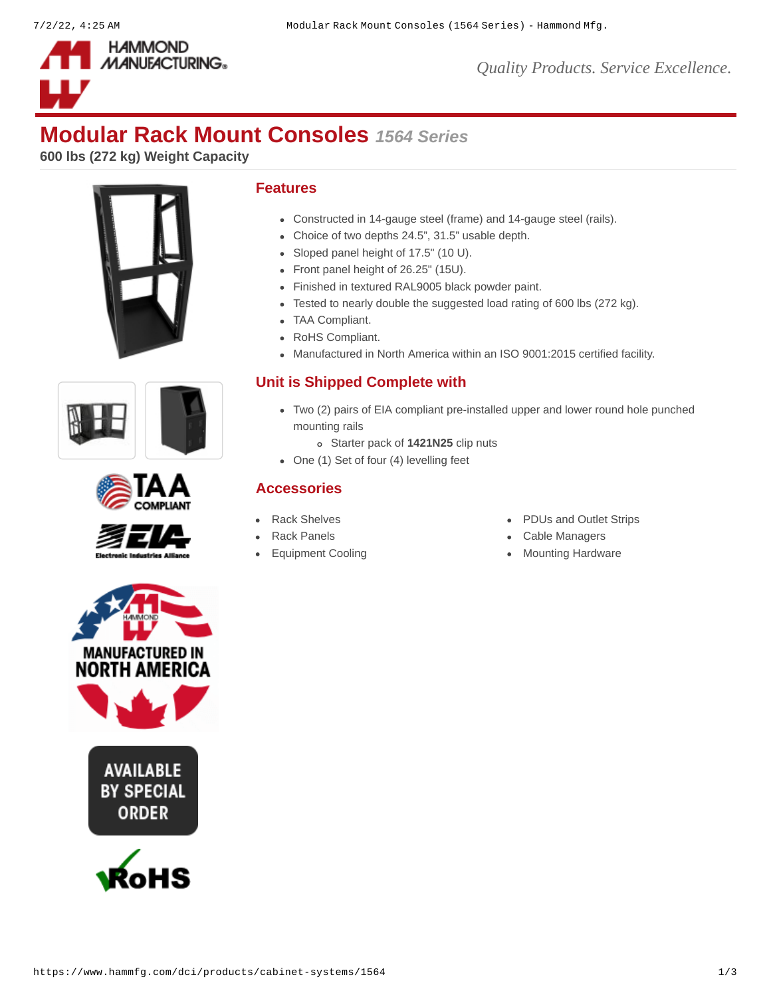

*Quality Products. Service Excellence.*

# **Modular Rack Mount Consoles** *1564 Series*

**600 lbs (272 kg) Weight Capacity**









# **Features**

- Constructed in 14-gauge steel (frame) and 14-gauge steel (rails).
- Choice of two depths 24.5", 31.5" usable depth.
- Sloped panel height of 17.5" (10 U).
- Front panel height of 26.25" (15U).
- Finished in textured RAL9005 black powder paint.
- Tested to nearly double the suggested load rating of 600 lbs (272 kg).
- TAA Compliant.
- RoHS Compliant.
- Manufactured in North America within an ISO 9001:2015 certified facility.

# **Unit is Shipped Complete with**

- Two (2) pairs of EIA compliant pre-installed upper and lower round hole punched mounting rails
	- Starter pack of **[1421N25](https://www.hammfg.com/dci/products/accessories/1421n)** clip nuts
- One (1) Set of four (4) levelling feet

# **Accessories**

- 
- 
- 
- [Rack Shelves](https://www.hammfg.com/dci/products/accessories/shelves?referer=199&itm_type=accessory) **PDUs** and Outlet Strips
- [Rack Panels](https://www.hammfg.com/dci/products/accessories/panels?referer=199&itm_type=accessory) **[Cable Managers](https://www.hammfg.com/dci/products/accessories/cable-management?referer=199&itm_type=accessory)**
- [Equipment Cooling](https://www.hammfg.com/dci/products/accessories/cooling?referer=199&itm_type=accessory) **[Mounting Hardware](https://www.hammfg.com/dci/products/accessories/mounting-hardware?referer=199&itm_type=accessory)** Mounting Hardware



**AVAILABLE BY SPECIAL ORDER** 

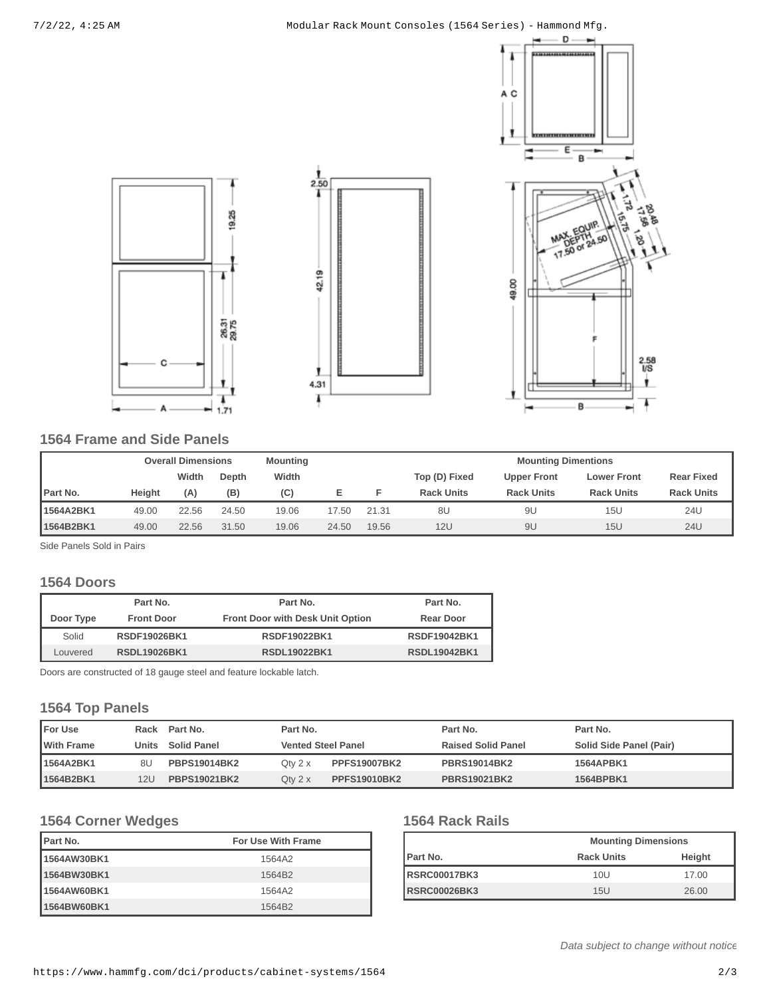#### 7/2/22, 4:25 AM Modular Rack Mount Consoles (1564 Series) - Hammond Mfg.



# **1564 Frame and Side Panels**

|           | <b>Overall Dimensions</b> |       | <b>Mounting</b> |       |       | <b>Mounting Dimentions</b> |                   |                    |                    |                   |
|-----------|---------------------------|-------|-----------------|-------|-------|----------------------------|-------------------|--------------------|--------------------|-------------------|
|           |                           | Width | Depth           | Width |       |                            | Top (D) Fixed     | <b>Upper Front</b> | <b>Lower Front</b> | <b>Rear Fixed</b> |
| Part No.  | <b>Height</b>             | (A)   | (B)             | (C)   |       |                            | <b>Rack Units</b> | <b>Rack Units</b>  | <b>Rack Units</b>  | <b>Rack Units</b> |
| 1564A2BK1 | 49.00                     | 22.56 | 24.50           | 19.06 | 17.50 | 21.31                      | 8U                | 9L                 | 15U                | 24U               |
| 1564B2BK1 | 49.00                     | 22.56 | 31.50           | 19.06 | 24.50 | 19.56                      | 12U               | 9U                 | 15U                | <b>24U</b>        |

 $2.\overline{50}$ 

42.19

ı

4.31

T

19.25

26.31<br>29.75

1

 $1.71$ 

Side Panels Sold in Pairs

### **1564 Doors**

|           | Part No.            | Part No.                                | Part No.            |
|-----------|---------------------|-----------------------------------------|---------------------|
| Door Type | <b>Front Door</b>   | <b>Front Door with Desk Unit Option</b> | <b>Rear Door</b>    |
| Solid     | <b>RSDF19026BK1</b> | <b>RSDF19022BK1</b>                     | <b>RSDF19042BK1</b> |
| Louvered  | <b>RSDL19026BK1</b> | <b>RSDL19022BK1</b>                     | <b>RSDL19042BK1</b> |

Doors are constructed of 18 gauge steel and feature lockable latch.

# **1564 Top Panels**

| <b>IFor Use</b>   |       | Rack Part No.       | Part No.                  |                     | Part No.                  | Part No.                |  |
|-------------------|-------|---------------------|---------------------------|---------------------|---------------------------|-------------------------|--|
| <b>With Frame</b> | Units | <b>Solid Panel</b>  | <b>Vented Steel Panel</b> |                     | <b>Raised Solid Panel</b> | Solid Side Panel (Pair) |  |
| 1564A2BK1         | 8U    | <b>PBPS19014BK2</b> | Otv $2 \times$            | <b>PPFS19007BK2</b> | <b>PBRS19014BK2</b>       | 1564APBK1               |  |
| 1564B2BK1         | 12U   | <b>PBPS19021BK2</b> | Oty $2 \times$            | <b>PPFS19010BK2</b> | <b>PBRS19021BK2</b>       | 1564BPBK1               |  |

# **1564 Corner Wedges**

| <b>IPart No.</b> | <b>For Use With Frame</b> |
|------------------|---------------------------|
| 1564AW30BK1      | 1564A2                    |
| 1564BW30BK1      | 1564B2                    |
| 1564AW60BK1      | 1564A2                    |
| 1564BW60BK1      | 1564B2                    |

# **1564 Rack Rails**

|                      | <b>Mounting Dimensions</b> |        |  |  |
|----------------------|----------------------------|--------|--|--|
| <b>IPart No.</b>     | <b>Rack Units</b>          | Height |  |  |
| <b>IRSRC00017BK3</b> | 10U                        | 17.00  |  |  |
| <b>RSRC00026BK3</b>  | 15U                        | 26.00  |  |  |